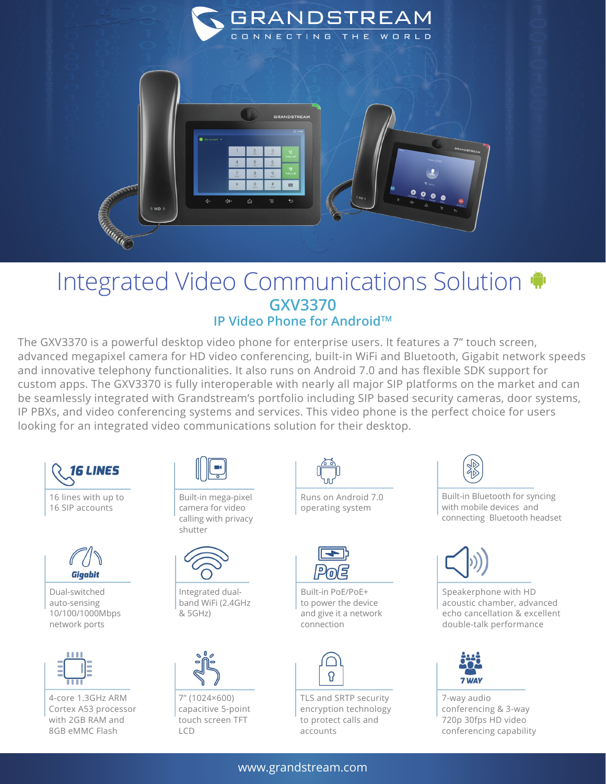

## Integrated Video Communications Solution **GXV3370 IP Video Phone for Android™**

The GXV3370 is a powerful desktop video phone for enterprise users. It features a 7" touch screen, advanced megapixel camera for HD video conferencing, built-in WiFi and Bluetooth, Gigabit network speeds and innovative telephony functionalities. It also runs on Android 7.0 and has flexible SDK support for custom apps. The GXV3370 is fully interoperable with nearly all major SIP platforms on the market and can be seamlessly integrated with Grandstream's portfolio including SIP based security cameras, door systems, IP PBXs, and video conferencing systems and services. This video phone is the perfect choice for users looking for an integrated video communications solution for their desktop.





Dual-switched auto-sensing 10/100/1000Mbps network ports



4-core 1.3GHz ARM Cortex A53 processor with 2GB RAM and 8GB eMMC Flash



Built-in mega-pixel camera for video calling with privacy shutter



Integrated dualband WiFi (2.4GHz & 5GHz)



7'' (1024×600) capacitive 5-point touch screen TFT LCD



Runs on Android 7.0 operating system



Built-in PoE/PoE+ to power the device and give it a network connection



TLS and SRTP security encryption technology to protect calls and accounts



Built-in Bluetooth for syncing with mobile devices and connecting Bluetooth headset



Speakerphone with HD acoustic chamber, advanced echo cancellation & excellent double-talk performance



7-way audio conferencing & 3-way 720p 30fps HD video conferencing capability